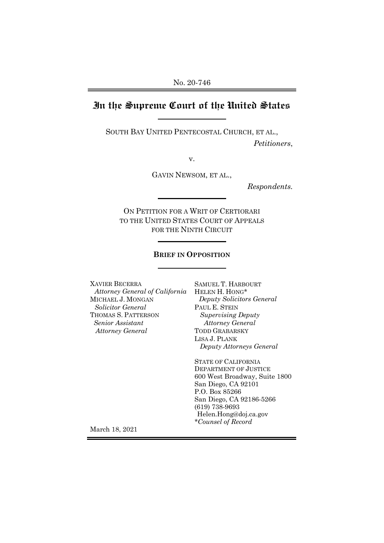# **In the Supreme Court of the United States**

SOUTH BAY UNITED PENTECOSTAL CHURCH, ET AL., *Petitioners*,

v.

GAVIN NEWSOM, ET AL.,

*Respondents.*

ON PETITION FOR A WRIT OF CERTIORARI TO THE UNITED STATES COURT OF APPEALS FOR THE NINTH CIRCUIT

### **BRIEF IN OPPOSITION**

| XAVIER BECERRA                             | SAMUEL T. HARBOURT            |
|--------------------------------------------|-------------------------------|
| Attorney General of California             | HELEN H. HONG*                |
| MICHAEL J. MONGAN                          | Deputy Solicitors General     |
| <i>Solicitor General</i>                   | PAUL E. STEIN                 |
| THOMAS S. PATTERSON                        | <b>Supervising Deputy</b>     |
| Senior Assistant                           | <b>Attorney General</b>       |
| <b>Attorney General</b>                    | <b>TODD GRABARSKY</b>         |
|                                            | LISA J. PLANK                 |
|                                            | Deputy Attorneys General      |
|                                            | <b>STATE OF CALIFORNIA</b>    |
|                                            | DEPARTMENT OF JUSTICE         |
|                                            | 600 West Broadway, Suite 1800 |
|                                            | San Diego, CA 92101           |
|                                            | P.O. Box 85266                |
|                                            | San Diego, CA 92186-5266      |
|                                            | $(619) 738-9693$              |
|                                            | Helen.Hong@doj.ca.gov         |
|                                            | *Counsel of Record            |
| ъ г<br>$1 \cdot 2 \cdot 2 \cdot 2 \cdot 3$ |                               |

March 18, 2021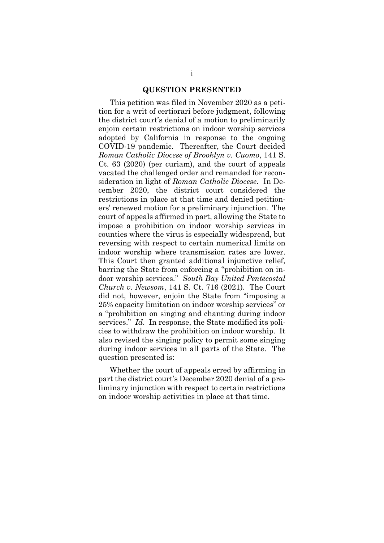#### **QUESTION PRESENTED**

This petition was filed in November 2020 as a petition for a writ of certiorari before judgment, following the district court's denial of a motion to preliminarily enjoin certain restrictions on indoor worship services adopted by California in response to the ongoing COVID-19 pandemic. Thereafter, the Court decided *Roman Catholic Diocese of Brooklyn v. Cuomo*, 141 S. Ct. 63 (2020) (per curiam), and the court of appeals vacated the challenged order and remanded for reconsideration in light of *Roman Catholic Diocese*.In December 2020, the district court considered the restrictions in place at that time and denied petitioners' renewed motion for a preliminary injunction. The court of appeals affirmed in part, allowing the State to impose a prohibition on indoor worship services in counties where the virus is especially widespread, but reversing with respect to certain numerical limits on indoor worship where transmission rates are lower. This Court then granted additional injunctive relief, barring the State from enforcing a "prohibition on indoor worship services." *South Bay United Pentecostal Church v. Newsom*, 141 S. Ct. 716 (2021). The Court did not, however, enjoin the State from "imposing a 25% capacity limitation on indoor worship services" or a "prohibition on singing and chanting during indoor services." *Id*. In response, the State modified its policies to withdraw the prohibition on indoor worship. It also revised the singing policy to permit some singing during indoor services in all parts of the State. The question presented is:

Whether the court of appeals erred by affirming in part the district court's December 2020 denial of a preliminary injunction with respect to certain restrictions on indoor worship activities in place at that time.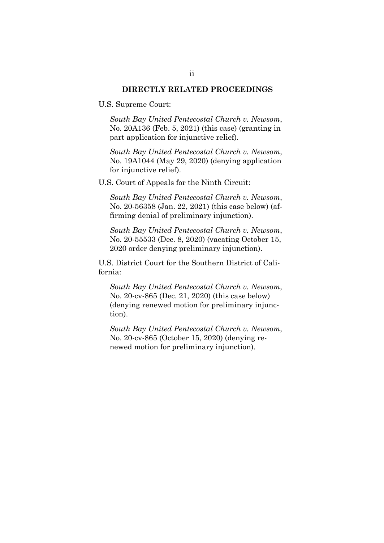### **DIRECTLY RELATED PROCEEDINGS**

U.S. Supreme Court:

*South Bay United Pentecostal Church v. Newsom*, No. 20A136 (Feb. 5, 2021) (this case) (granting in part application for injunctive relief).

*South Bay United Pentecostal Church v. Newsom*, No. 19A1044 (May 29, 2020) (denying application for injunctive relief).

U.S. Court of Appeals for the Ninth Circuit:

*South Bay United Pentecostal Church v. Newsom*, No. 20-56358 (Jan. 22, 2021) (this case below) (affirming denial of preliminary injunction).

*South Bay United Pentecostal Church v. Newsom*, No. 20-55533 (Dec. 8, 2020) (vacating October 15, 2020 order denying preliminary injunction).

U.S. District Court for the Southern District of California:

*South Bay United Pentecostal Church v. Newsom*, No. 20-cv-865 (Dec. 21, 2020) (this case below) (denying renewed motion for preliminary injunction).

*South Bay United Pentecostal Church v. Newsom*, No. 20-cv-865 (October 15, 2020) (denying renewed motion for preliminary injunction).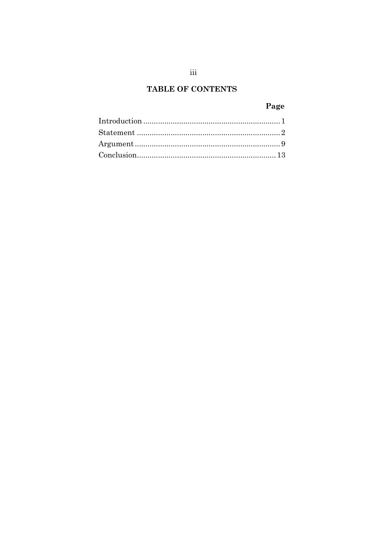# TABLE OF CONTENTS

### Page

 $\rm iii$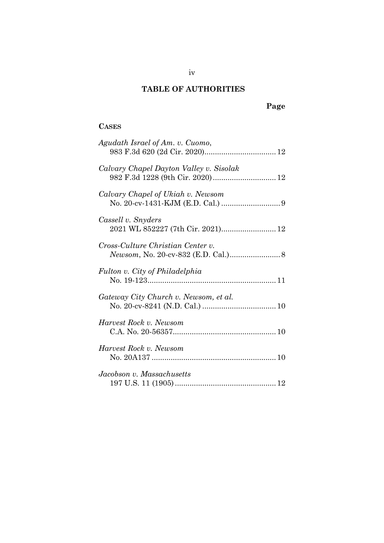# **TABLE OF AUTHORITIES**

# **Page**

### **CASES**

| Agudath Israel of Am. v. Cuomo,                         |
|---------------------------------------------------------|
| Calvary Chapel Dayton Valley v. Sisolak                 |
| Calvary Chapel of Ukiah v. Newsom                       |
| Cassell v. Snyders<br>2021 WL 852227 (7th Cir. 2021) 12 |
| Cross-Culture Christian Center v.                       |
| Fulton v. City of Philadelphia                          |
| Gateway City Church v. Newsom, et al.                   |
| Harvest Rock v. Newsom                                  |
| Harvest Rock v. Newsom                                  |
| Jacobson v. Massachusetts                               |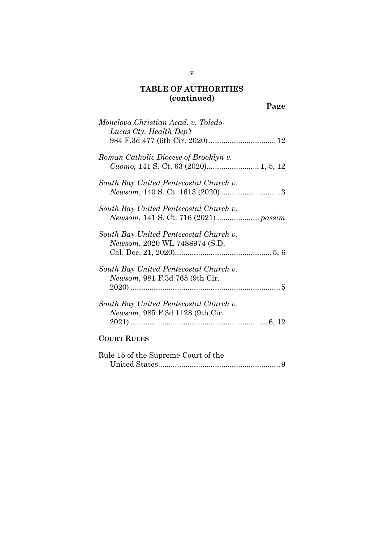# **TABLE OF AUTHORITIES (continued)**

| Monclova Christian Acad. v. Toledo-<br>Lucas Cty. Health Dep't                    |
|-----------------------------------------------------------------------------------|
| Roman Catholic Diocese of Brooklyn v.                                             |
| South Bay United Pentecostal Church v.                                            |
| South Bay United Pentecostal Church v.                                            |
| South Bay United Pentecostal Church v.<br>Newsom, 2020 WL 7488974 (S.D.           |
| South Bay United Pentecostal Church v.<br><i>Newsom</i> , 981 F.3d 765 (9th Cir.  |
| South Bay United Pentecostal Church v.<br><i>Newsom</i> , 985 F.3d 1128 (9th Cir. |
| <b>COURT RULES</b>                                                                |
| Rule 15 of the Supreme Court of the                                               |

| ture to be the supreme court of the |  |
|-------------------------------------|--|
|                                     |  |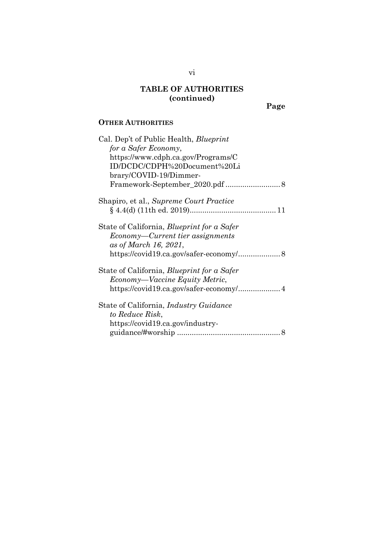# **TABLE OF AUTHORITIES (continued)**

**Page**

### **OTHER AUTHORITIES**

| Cal. Dep't of Public Health, <i>Blueprint</i>     |
|---------------------------------------------------|
| for a Safer Economy,                              |
| https://www.cdph.ca.gov/Programs/C                |
| ID/DCDC/CDPH%20Document%20Li                      |
| brary/COVID-19/Dimmer-                            |
|                                                   |
| Shapiro, et al., Supreme Court Practice           |
|                                                   |
| State of California, Blueprint for a Safer        |
| Economy—Current tier assignments                  |
| as of March 16, 2021,                             |
| https://covid19.ca.gov/safer-economy/ 8           |
| State of California, <i>Blueprint for a Safer</i> |
| Economy—Vaccine Equity Metric,                    |
| https://covid19.ca.gov/safer-economy/ 4           |
| State of California, <i>Industry Guidance</i>     |
| to Reduce Risk,                                   |
| https://covid19.ca.gov/industry-                  |
|                                                   |

vi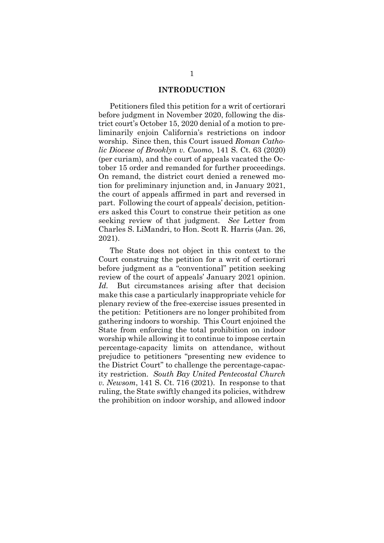### **INTRODUCTION**

Petitioners filed this petition for a writ of certiorari before judgment in November 2020, following the district court's October 15, 2020 denial of a motion to preliminarily enjoin California's restrictions on indoor worship. Since then, this Court issued *Roman Catholic Diocese of Brooklyn v. Cuomo*, 141 S. Ct. 63 (2020) (per curiam), and the court of appeals vacated the October 15 order and remanded for further proceedings. On remand, the district court denied a renewed motion for preliminary injunction and, in January 2021, the court of appeals affirmed in part and reversed in part. Following the court of appeals' decision, petitioners asked this Court to construe their petition as one seeking review of that judgment. *See* Letter from Charles S. LiMandri, to Hon. Scott R. Harris (Jan. 26, 2021).

The State does not object in this context to the Court construing the petition for a writ of certiorari before judgment as a "conventional" petition seeking review of the court of appeals' January 2021 opinion. Id. But circumstances arising after that decision make this case a particularly inappropriate vehicle for plenary review of the free-exercise issues presented in the petition: Petitioners are no longer prohibited from gathering indoors to worship. This Court enjoined the State from enforcing the total prohibition on indoor worship while allowing it to continue to impose certain percentage-capacity limits on attendance, without prejudice to petitioners "presenting new evidence to the District Court" to challenge the percentage-capacity restriction. *South Bay United Pentecostal Church v. Newsom*, 141 S. Ct. 716 (2021). In response to that ruling, the State swiftly changed its policies, withdrew the prohibition on indoor worship, and allowed indoor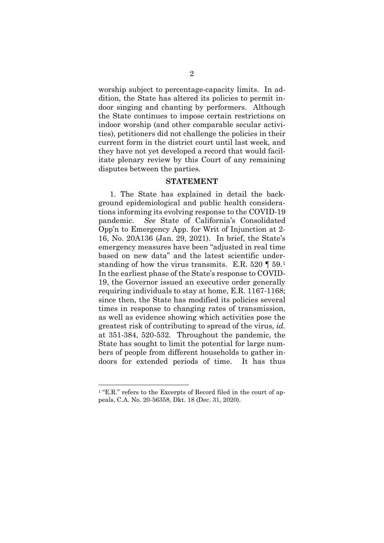worship subject to percentage-capacity limits. In addition, the State has altered its policies to permit indoor singing and chanting by performers. Although the State continues to impose certain restrictions on indoor worship (and other comparable secular activities), petitioners did not challenge the policies in their current form in the district court until last week, and they have not yet developed a record that would facilitate plenary review by this Court of any remaining disputes between the parties.

#### **STATEMENT**

1. The State has explained in detail the background epidemiological and public health considerations informing its evolving response to the COVID-19 pandemic. *See* State of California's Consolidated Opp'n to Emergency App. for Writ of Injunction at 2- 16, No. 20A136 (Jan. 29, 2021). In brief, the State's emergency measures have been "adjusted in real time based on new data" and the latest scientific understanding of how the virus transmits. E.R.  $520 \text{ T } 59.1$  $520 \text{ T } 59.1$ In the earliest phase of the State's response to COVID-19, the Governor issued an executive order generally requiring individuals to stay at home, E.R. 1167-1168; since then, the State has modified its policies several times in response to changing rates of transmission, as well as evidence showing which activities pose the greatest risk of contributing to spread of the virus, *id.*  at 351-384, 520-532. Throughout the pandemic, the State has sought to limit the potential for large numbers of people from different households to gather indoors for extended periods of time. It has thus

<span id="page-8-0"></span><sup>&</sup>lt;sup>1</sup> "E.R." refers to the Excerpts of Record filed in the court of appeals, C.A. No. 20-56358, Dkt. 18 (Dec. 31, 2020).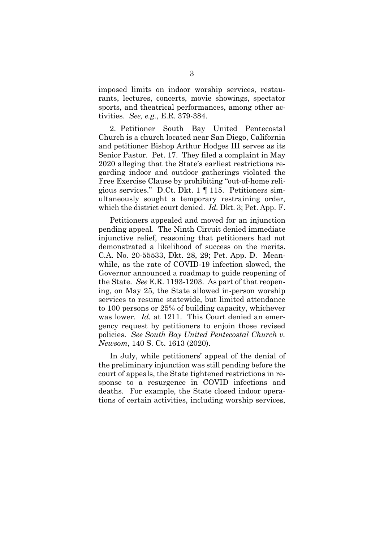imposed limits on indoor worship services, restaurants, lectures, concerts, movie showings, spectator sports, and theatrical performances, among other activities. *See, e.g.*, E.R. 379-384.

2. Petitioner South Bay United Pentecostal Church is a church located near San Diego, California and petitioner Bishop Arthur Hodges III serves as its Senior Pastor. Pet. 17. They filed a complaint in May 2020 alleging that the State's earliest restrictions regarding indoor and outdoor gatherings violated the Free Exercise Clause by prohibiting "out-of-home religious services." D.Ct. Dkt. 1 ¶ 115. Petitioners simultaneously sought a temporary restraining order, which the district court denied. *Id.* Dkt. 3; Pet. App. F.

Petitioners appealed and moved for an injunction pending appeal. The Ninth Circuit denied immediate injunctive relief, reasoning that petitioners had not demonstrated a likelihood of success on the merits. C.A. No. 20-55533, Dkt. 28, 29; Pet. App. D. Meanwhile, as the rate of COVID-19 infection slowed, the Governor announced a roadmap to guide reopening of the State. *See* E.R. 1193-1203. As part of that reopening, on May 25, the State allowed in-person worship services to resume statewide, but limited attendance to 100 persons or 25% of building capacity, whichever was lower. *Id.* at 1211. This Court denied an emergency request by petitioners to enjoin those revised policies. *See South Bay United Pentecostal Church v. Newsom*, 140 S. Ct. 1613 (2020).

In July, while petitioners' appeal of the denial of the preliminary injunction was still pending before the court of appeals, the State tightened restrictions in response to a resurgence in COVID infections and deaths. For example, the State closed indoor operations of certain activities, including worship services,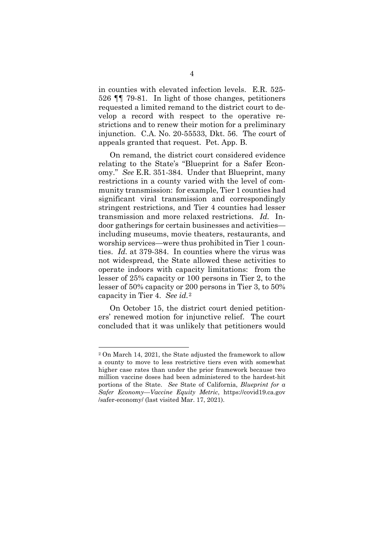in counties with elevated infection levels. E.R. 525- 526 ¶¶ 79-81. In light of those changes, petitioners requested a limited remand to the district court to develop a record with respect to the operative restrictions and to renew their motion for a preliminary injunction. C.A. No. 20-55533, Dkt. 56. The court of appeals granted that request. Pet. App. B.

On remand, the district court considered evidence relating to the State's "Blueprint for a Safer Economy." *See* E.R. 351-384. Under that Blueprint, many restrictions in a county varied with the level of community transmission: for example, Tier 1 counties had significant viral transmission and correspondingly stringent restrictions, and Tier 4 counties had lesser transmission and more relaxed restrictions. *Id.* Indoor gatherings for certain businesses and activities including museums, movie theaters, restaurants, and worship services—were thus prohibited in Tier 1 counties. *Id.* at 379-384. In counties where the virus was not widespread, the State allowed these activities to operate indoors with capacity limitations: from the lesser of 25% capacity or 100 persons in Tier 2, to the lesser of 50% capacity or 200 persons in Tier 3, to 50% capacity in Tier 4. *See id.*[2](#page-10-0)

On October 15, the district court denied petitioners' renewed motion for injunctive relief. The court concluded that it was unlikely that petitioners would

<span id="page-10-0"></span><sup>2</sup> On March 14, 2021, the State adjusted the framework to allow a county to move to less restrictive tiers even with somewhat higher case rates than under the prior framework because two million vaccine doses had been administered to the hardest-hit portions of the State. *See* State of California, *Blueprint for a Safer Economy—Vaccine Equity Metric*, https://covid19.ca.gov /safer-economy/ (last visited Mar. 17, 2021).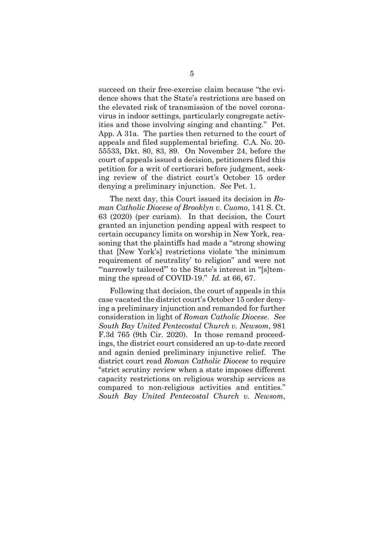succeed on their free-exercise claim because "the evidence shows that the State's restrictions are based on the elevated risk of transmission of the novel coronavirus in indoor settings, particularly congregate activities and those involving singing and chanting." Pet. App. A 31a. The parties then returned to the court of appeals and filed supplemental briefing. C.A. No. 20- 55533, Dkt. 80, 83, 89. On November 24, before the court of appeals issued a decision, petitioners filed this petition for a writ of certiorari before judgment, seeking review of the district court's October 15 order denying a preliminary injunction. *See* Pet. 1.

The next day, this Court issued its decision in *Roman Catholic Diocese of Brooklyn v. Cuomo*, 141 S. Ct. 63 (2020) (per curiam). In that decision, the Court granted an injunction pending appeal with respect to certain occupancy limits on worship in New York, reasoning that the plaintiffs had made a "strong showing that [New York's] restrictions violate 'the minimum requirement of neutrality' to religion" and were not "narrowly tailored" to the State's interest in "[s]temming the spread of COVID-19." *Id.* at 66, 67.

Following that decision, the court of appeals in this case vacated the district court's October 15 order denying a preliminary injunction and remanded for further consideration in light of *Roman Catholic Diocese*. *See South Bay United Pentecostal Church v. Newsom*, 981 F.3d 765 (9th Cir. 2020). In those remand proceedings, the district court considered an up-to-date record and again denied preliminary injunctive relief. The district court read *Roman Catholic Diocese* to require "strict scrutiny review when a state imposes different capacity restrictions on religious worship services as compared to non-religious activities and entities." *South Bay United Pentecostal Church v. Newsom*,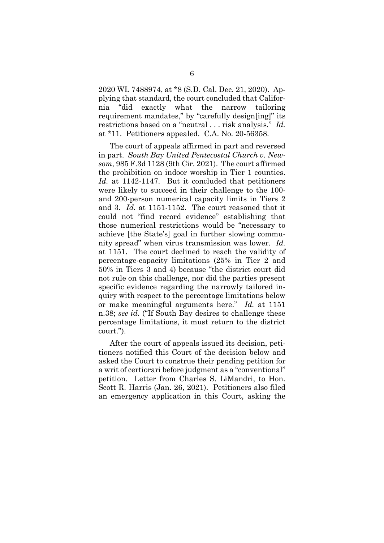2020 WL 7488974, at \*8 (S.D. Cal. Dec. 21, 2020). Applying that standard, the court concluded that California "did exactly what the narrow tailoring requirement mandates," by "carefully design[ing]" its restrictions based on a "neutral . . . risk analysis." *Id.* at \*11. Petitioners appealed. C.A. No. 20-56358.

The court of appeals affirmed in part and reversed in part. *South Bay United Pentecostal Church v. Newsom*, 985 F.3d 1128 (9th Cir. 2021). The court affirmed the prohibition on indoor worship in Tier 1 counties. *Id.* at 1142-1147. But it concluded that petitioners were likely to succeed in their challenge to the 100 and 200-person numerical capacity limits in Tiers 2 and 3. *Id.* at 1151-1152. The court reasoned that it could not "find record evidence" establishing that those numerical restrictions would be "necessary to achieve [the State's] goal in further slowing community spread" when virus transmission was lower. *Id.* at 1151. The court declined to reach the validity of percentage-capacity limitations (25% in Tier 2 and 50% in Tiers 3 and 4) because "the district court did not rule on this challenge, nor did the parties present specific evidence regarding the narrowly tailored inquiry with respect to the percentage limitations below or make meaningful arguments here." *Id.* at 1151 n.38; *see id.* ("If South Bay desires to challenge these percentage limitations, it must return to the district court.").

After the court of appeals issued its decision, petitioners notified this Court of the decision below and asked the Court to construe their pending petition for a writ of certiorari before judgment as a "conventional" petition. Letter from Charles S. LiMandri, to Hon. Scott R. Harris (Jan. 26, 2021). Petitioners also filed an emergency application in this Court, asking the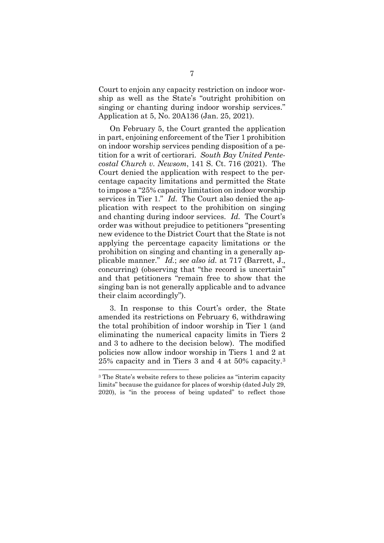Court to enjoin any capacity restriction on indoor worship as well as the State's "outright prohibition on singing or chanting during indoor worship services." Application at 5, No. 20A136 (Jan. 25, 2021).

On February 5, the Court granted the application in part, enjoining enforcement of the Tier 1 prohibition on indoor worship services pending disposition of a petition for a writ of certiorari. *South Bay United Pentecostal Church v. Newsom*, 141 S. Ct. 716 (2021).The Court denied the application with respect to the percentage capacity limitations and permitted the State to impose a "25% capacity limitation on indoor worship services in Tier 1." *Id*.The Court also denied the application with respect to the prohibition on singing and chanting during indoor services. *Id.* The Court's order was without prejudice to petitioners "presenting new evidence to the District Court that the State is not applying the percentage capacity limitations or the prohibition on singing and chanting in a generally applicable manner." *Id.*; *see also id.* at 717 (Barrett, J., concurring) (observing that "the record is uncertain" and that petitioners "remain free to show that the singing ban is not generally applicable and to advance their claim accordingly").

3. In response to this Court's order, the State amended its restrictions on February 6, withdrawing the total prohibition of indoor worship in Tier 1 (and eliminating the numerical capacity limits in Tiers 2 and 3 to adhere to the decision below). The modified policies now allow indoor worship in Tiers 1 and 2 at 25% capacity and in Tiers 3 and 4 at 50% capacity.[3](#page-13-0) -

<span id="page-13-0"></span><sup>3</sup> The State's website refers to these policies as "interim capacity limits" because the guidance for places of worship (dated July 29, 2020), is "in the process of being updated" to reflect those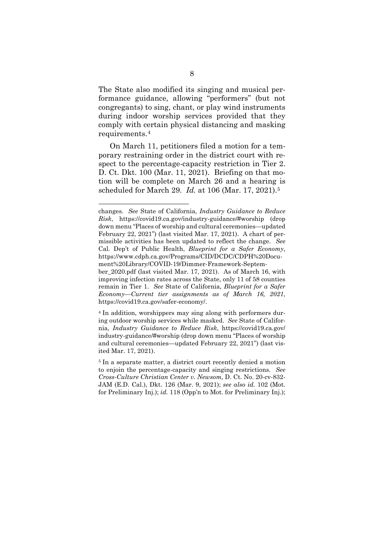The State also modified its singing and musical performance guidance, allowing "performers" (but not congregants) to sing, chant, or play wind instruments during indoor worship services provided that they comply with certain physical distancing and masking requirements.[4](#page-14-0) 

On March 11, petitioners filed a motion for a temporary restraining order in the district court with respect to the percentage-capacity restriction in Tier 2. D. Ct. Dkt. 100 (Mar. 11, 2021). Briefing on that motion will be complete on March 26 and a hearing is scheduled for March 29. *Id.* at 106 (Mar. 17, 2021).[5](#page-14-1) 

changes. *See* State of California, *Industry Guidance to Reduce Risk*, https://covid19.ca.gov/industry-guidance/#worship (drop down menu "Places of worship and cultural ceremonies—updated February 22, 2021") (last visited Mar. 17, 2021). A chart of permissible activities has been updated to reflect the change. *See*  Cal. Dep't of Public Health, *Blueprint for a Safer Economy*, https://www.cdph.ca.gov/Programs/CID/DCDC/CDPH%20Document%20Library/COVID-19/Dimmer-Framework-September\_2020.pdf (last visited Mar. 17, 2021). As of March 16, with improving infection rates across the State, only 11 of 58 counties remain in Tier 1. *See* State of California, *Blueprint for a Safer* 

*Economy—Current tier assignments as of March 16, 2021*, https://covid19.ca.gov/safer-economy/. <sup>4</sup> In addition, worshippers may sing along with performers dur-

<span id="page-14-0"></span>ing outdoor worship services while masked. *See* State of California, *Industry Guidance to Reduce Risk*, https://covid19.ca.gov/ industry-guidance/#worship (drop down menu "Places of worship and cultural ceremonies—updated February 22, 2021") (last visited Mar. 17, 2021).

<span id="page-14-1"></span><sup>5</sup> In a separate matter, a district court recently denied a motion to enjoin the percentage-capacity and singing restrictions. *See Cross-Culture Christian Center v. Newsom,* D. Ct. No. 20-cv-832- JAM (E.D. Cal.), Dkt. 126 (Mar. 9, 2021); *see also id.* 102 (Mot. for Preliminary Inj.); *id.* 118 (Opp'n to Mot. for Preliminary Inj.);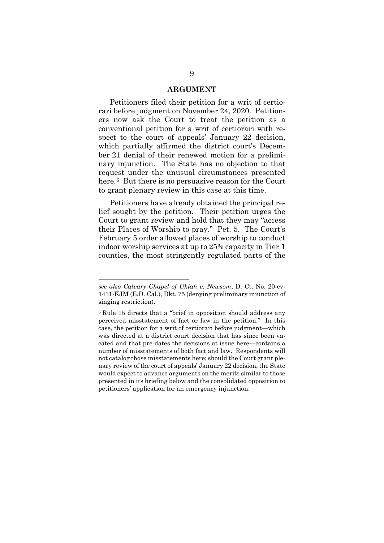### **ARGUMENT**

Petitioners filed their petition for a writ of certiorari before judgment on November 24, 2020. Petitioners now ask the Court to treat the petition as a conventional petition for a writ of certiorari with respect to the court of appeals' January 22 decision, which partially affirmed the district court's December 21 denial of their renewed motion for a preliminary injunction. The State has no objection to that request under the unusual circumstances presented here.[6](#page-15-0) But there is no persuasive reason for the Court to grant plenary review in this case at this time.

Petitioners have already obtained the principal relief sought by the petition. Their petition urges the Court to grant review and hold that they may "access their Places of Worship to pray." Pet. 5. The Court's February 5 order allowed places of worship to conduct indoor worship services at up to 25% capacity in Tier 1 counties, the most stringently regulated parts of the

*see also Calvary Chapel of Ukiah v. Newsom*, D. Ct. No. 20-cv-1431-KJM (E.D. Cal.), Dkt. 75 (denying preliminary injunction of singing restriction).

<span id="page-15-0"></span><sup>6</sup> Rule 15 directs that a "brief in opposition should address any perceived misstatement of fact or law in the petition." In this case, the petition for a writ of certiorari before judgment—which was directed at a district court decision that has since been vacated and that pre-dates the decisions at issue here—contains a number of misstatements of both fact and law. Respondents will not catalog those misstatements here; should the Court grant plenary review of the court of appeals' January 22 decision, the State would expect to advance arguments on the merits similar to those presented in its briefing below and the consolidated opposition to petitioners' application for an emergency injunction.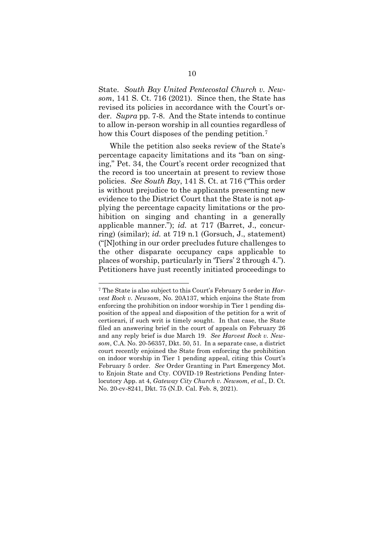State. *South Bay United Pentecostal Church v. Newsom*, 141 S. Ct. 716 (2021). Since then, the State has revised its policies in accordance with the Court's order. *Supra* pp. 7-8. And the State intends to continue to allow in-person worship in all counties regardless of how this Court disposes of the pending petition.<sup>[7](#page-16-0)</sup>

While the petition also seeks review of the State's percentage capacity limitations and its "ban on singing," Pet. 34, the Court's recent order recognized that the record is too uncertain at present to review those policies. *See South Bay*, 141 S. Ct. at 716 ("This order is without prejudice to the applicants presenting new evidence to the District Court that the State is not applying the percentage capacity limitations or the prohibition on singing and chanting in a generally applicable manner."); *id.* at 717 (Barret, J., concurring) (similar); *id.* at 719 n.1 (Gorsuch, J., statement) ("[N]othing in our order precludes future challenges to the other disparate occupancy caps applicable to places of worship, particularly in 'Tiers' 2 through 4."). Petitioners have just recently initiated proceedings to

<span id="page-16-0"></span><sup>7</sup> The State is also subject to this Court's February 5 order in *Harvest Rock v. Newsom*, No. 20A137, which enjoins the State from enforcing the prohibition on indoor worship in Tier 1 pending disposition of the appeal and disposition of the petition for a writ of certiorari, if such writ is timely sought. In that case, the State filed an answering brief in the court of appeals on February 26 and any reply brief is due March 19. *See Harvest Rock v. Newsom*, C.A. No. 20-56357, Dkt. 50, 51. In a separate case, a district court recently enjoined the State from enforcing the prohibition on indoor worship in Tier 1 pending appeal, citing this Court's February 5 order. *See* Order Granting in Part Emergency Mot. to Enjoin State and Cty. COVID-19 Restrictions Pending Interlocutory App. at 4, *Gateway City Church v. Newsom, et al.*, D. Ct. No. 20-cv-8241, Dkt. 75 (N.D. Cal. Feb. 8, 2021).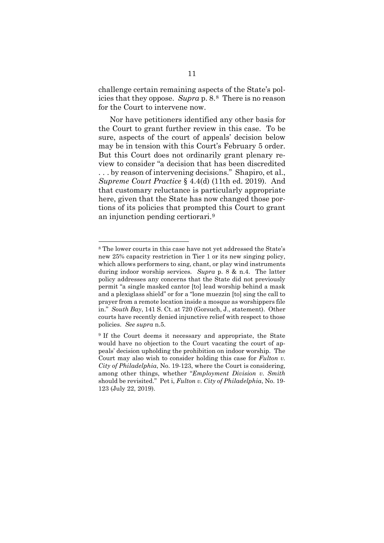challenge certain remaining aspects of the State's policies that they oppose. *Supra* p. 8.[8](#page-17-0) There is no reason for the Court to intervene now.

Nor have petitioners identified any other basis for the Court to grant further review in this case. To be sure, aspects of the court of appeals' decision below may be in tension with this Court's February 5 order. But this Court does not ordinarily grant plenary review to consider "a decision that has been discredited . . . by reason of intervening decisions." Shapiro, et al., *Supreme Court Practice* § 4.4(d) (11th ed. 2019). And that customary reluctance is particularly appropriate here, given that the State has now changed those portions of its policies that prompted this Court to grant an injunction pending certiorari.[9](#page-17-1) 

<span id="page-17-0"></span><sup>8</sup> The lower courts in this case have not yet addressed the State's new 25% capacity restriction in Tier 1 or its new singing policy, which allows performers to sing, chant, or play wind instruments during indoor worship services. *Supra* p. 8 & n.4. The latter policy addresses any concerns that the State did not previously permit "a single masked cantor [to] lead worship behind a mask and a plexiglass shield" or for a "lone muezzin [to] sing the call to prayer from a remote location inside a mosque as worshippers file in." *South Bay*, 141 S. Ct. at 720 (Gorsuch, J., statement). Other courts have recently denied injunctive relief with respect to those policies. *See supra* n.5.

<span id="page-17-1"></span><sup>&</sup>lt;sup>9</sup> If the Court deems it necessary and appropriate, the State would have no objection to the Court vacating the court of appeals' decision upholding the prohibition on indoor worship. The Court may also wish to consider holding this case for *Fulton v. City of Philadelphia*, No. 19-123, where the Court is considering, among other things, whether "*Employment Division v. Smith* should be revisited." Pet i, *Fulton v. City of Philadelphia*, No. 19- 123 (July 22, 2019).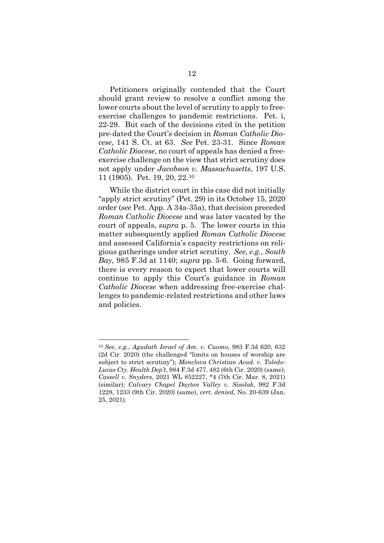Petitioners originally contended that the Court should grant review to resolve a conflict among the lower courts about the level of scrutiny to apply to freeexercise challenges to pandemic restrictions. Pet. i, 22-29. But each of the decisions cited in the petition pre-dated the Court's decision in *Roman Catholic Diocese*, 141 S. Ct. at 63. *See* Pet. 23-31. Since *Roman Catholic Diocese*, no court of appeals has denied a freeexercise challenge on the view that strict scrutiny does not apply under *Jacobson v. Massachusetts*, 197 U.S. 11 (1905). Pet. 19, 20, 22.[10](#page-18-0) 

While the district court in this case did not initially "apply strict scrutiny" (Pet. 29) in its October 15, 2020 order (*see* Pet. App. A 34a-35a), that decision preceded *Roman Catholic Diocese* and was later vacated by the court of appeals, *supra* p. 5. The lower courts in this matter subsequently applied *Roman Catholic Diocese*  and assessed California's capacity restrictions on religious gatherings under strict scrutiny. *See, e.g.*, *South Bay,* 985 F.3d at 1140; *supra* pp. 5-6. Going forward, there is every reason to expect that lower courts will continue to apply this Court's guidance in *Roman Catholic Diocese* when addressing free-exercise challenges to pandemic-related restrictions and other laws and policies.

<span id="page-18-0"></span><sup>10</sup> *See, e.g.*, *Agudath Israel of Am. v. Cuomo*, 983 F.3d 620, 632 (2d Cir. 2020) (the challenged "limits on houses of worship are subject to strict scrutiny"); *Monclova Christian Acad. v. Toledo-Lucas Cty. Health Dep't*, 984 F.3d 477, 482 (6th Cir. 2020) (same); *Cassell v. Snyders*, 2021 WL 852227, \*4 (7th Cir. Mar. 8, 2021) (similar); *Calvary Chapel Dayton Valley v. Sisolak*, 982 F.3d 1228, 1233 (9th Cir. 2020) (same), *cert. denied*, No. 20-639 (Jan. 25, 2021).